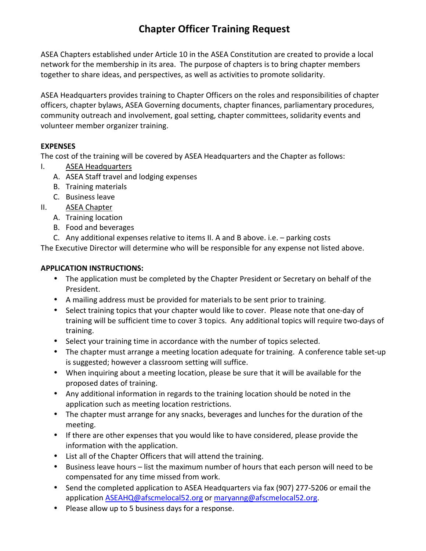## **Chapter Officer Training Request**

ASEA Chapters established under Article 10 in the ASEA Constitution are created to provide a local network for the membership in its area. The purpose of chapters is to bring chapter members together to share ideas, and perspectives, as well as activities to promote solidarity.

ASEA Headquarters provides training to Chapter Officers on the roles and responsibilities of chapter officers, chapter bylaws, ASEA Governing documents, chapter finances, parliamentary procedures, community outreach and involvement, goal setting, chapter committees, solidarity events and volunteer member organizer training.

## **EXPENSES**

The cost of the training will be covered by ASEA Headquarters and the Chapter as follows:

- I. ASEA Headquarters
	- A. ASEA Staff travel and lodging expenses
	- B. Training materials
	- C. Business leave
- II. ASEA Chapter
	- A. Training location
	- B. Food and beverages
	- C. Any additional expenses relative to items II. A and B above. i.e. parking costs

The Executive Director will determine who will be responsible for any expense not listed above.

## **APPLICATION INSTRUCTIONS:**

- The application must be completed by the Chapter President or Secretary on behalf of the President.
- A mailing address must be provided for materials to be sent prior to training.
- Select training topics that your chapter would like to cover. Please note that one-day of training will be sufficient time to cover 3 topics. Any additional topics will require two-days of training.
- Select your training time in accordance with the number of topics selected.
- The chapter must arrange a meeting location adequate for training. A conference table set-up is suggested; however a classroom setting will suffice.
- When inquiring about a meeting location, please be sure that it will be available for the proposed dates of training.
- Any additional information in regards to the training location should be noted in the application such as meeting location restrictions.
- The chapter must arrange for any snacks, beverages and lunches for the duration of the meeting.
- If there are other expenses that you would like to have considered, please provide the information with the application.
- List all of the Chapter Officers that will attend the training.
- Business leave hours list the maximum number of hours that each person will need to be compensated for any time missed from work.
- Send the completed application to ASEA Headquarters via fax (907) 277-5206 or email the application ASEAHQ@afscmelocal52.org or maryanng@afscmelocal52.org.
- Please allow up to 5 business days for a response.